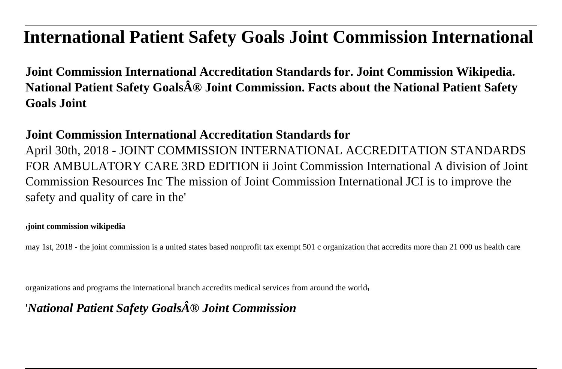## **International Patient Safety Goals Joint Commission International**

**Joint Commission International Accreditation Standards for. Joint Commission Wikipedia. National Patient Safety Goals® Joint Commission. Facts about the National Patient Safety Goals Joint**

## **Joint Commission International Accreditation Standards for**

April 30th, 2018 - JOINT COMMISSION INTERNATIONAL ACCREDITATION STANDARDS FOR AMBULATORY CARE 3RD EDITION ii Joint Commission International A division of Joint Commission Resources Inc The mission of Joint Commission International JCI is to improve the safety and quality of care in the'

## '**joint commission wikipedia**

may 1st, 2018 - the joint commission is a united states based nonprofit tax exempt 501 c organization that accredits more than 21 000 us health care

organizations and programs the international branch accredits medical services from around the world'

'*National Patient Safety Goals® Joint Commission*